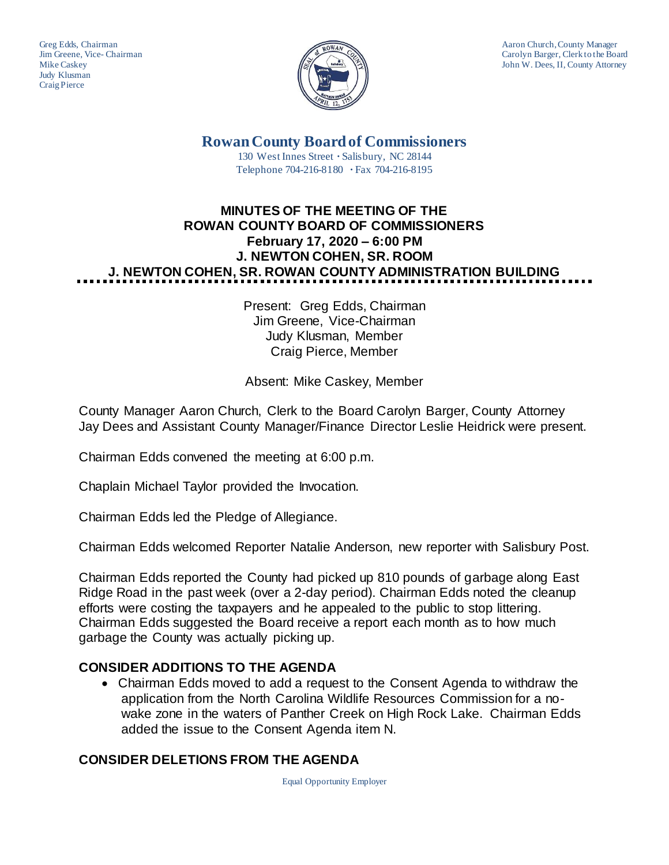Judy Klusman Craig Pierce



Greg Edds, Chairman Aaron Church, County Manager<br>
Jim Greene, Vice-Chairman Aaron Church, County Manager<br>
Carolyn Barger, Clerk to the Boa Carolyn Barger, Clerk to the Board Mike Caskey John W. Dees, II, County Attorney

**Rowan County Board of Commissioners**

130 West Innes Street **∙** Salisbury, NC 28144 Telephone 704-216-8180 **∙** Fax 704-216-8195

# **MINUTES OF THE MEETING OF THE ROWAN COUNTY BOARD OF COMMISSIONERS February 17, 2020 – 6:00 PM J. NEWTON COHEN, SR. ROOM J. NEWTON COHEN, SR. ROWAN COUNTY ADMINISTRATION BUILDING**

Present: Greg Edds, Chairman Jim Greene, Vice-Chairman Judy Klusman, Member Craig Pierce, Member

Absent: Mike Caskey, Member

County Manager Aaron Church, Clerk to the Board Carolyn Barger, County Attorney Jay Dees and Assistant County Manager/Finance Director Leslie Heidrick were present.

Chairman Edds convened the meeting at 6:00 p.m.

Chaplain Michael Taylor provided the Invocation.

Chairman Edds led the Pledge of Allegiance.

Chairman Edds welcomed Reporter Natalie Anderson, new reporter with Salisbury Post.

Chairman Edds reported the County had picked up 810 pounds of garbage along East Ridge Road in the past week (over a 2-day period). Chairman Edds noted the cleanup efforts were costing the taxpayers and he appealed to the public to stop littering. Chairman Edds suggested the Board receive a report each month as to how much garbage the County was actually picking up.

## **CONSIDER ADDITIONS TO THE AGENDA**

• Chairman Edds moved to add a request to the Consent Agenda to withdraw the application from the North Carolina Wildlife Resources Commission for a nowake zone in the waters of Panther Creek on High Rock Lake. Chairman Edds added the issue to the Consent Agenda item N.

## **CONSIDER DELETIONS FROM THE AGENDA**

Equal Opportunity Employer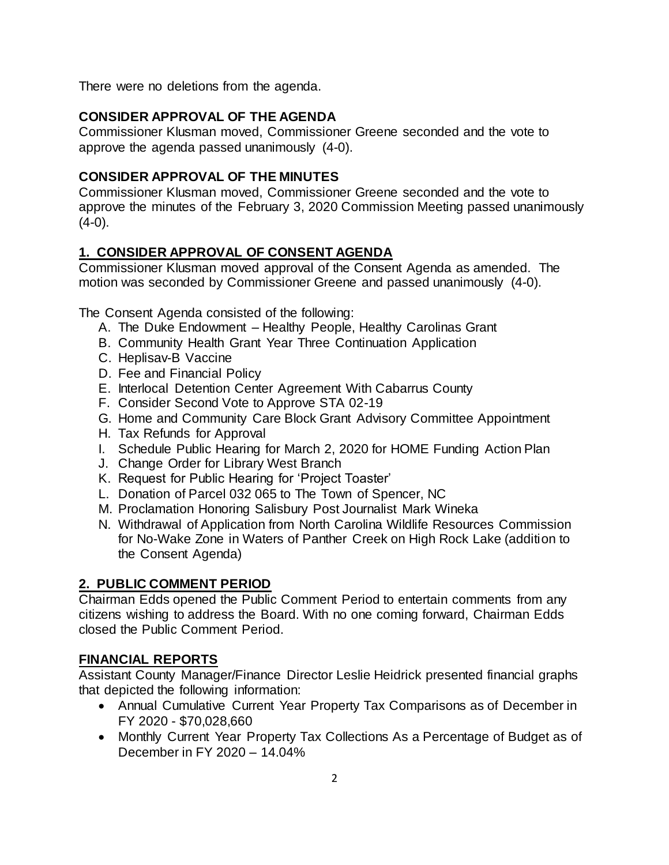There were no deletions from the agenda.

#### **CONSIDER APPROVAL OF THE AGENDA**

Commissioner Klusman moved, Commissioner Greene seconded and the vote to approve the agenda passed unanimously (4-0).

#### **CONSIDER APPROVAL OF THE MINUTES**

Commissioner Klusman moved, Commissioner Greene seconded and the vote to approve the minutes of the February 3, 2020 Commission Meeting passed unanimously  $(4-0)$ .

## **1. CONSIDER APPROVAL OF CONSENT AGENDA**

Commissioner Klusman moved approval of the Consent Agenda as amended. The motion was seconded by Commissioner Greene and passed unanimously (4-0).

The Consent Agenda consisted of the following:

- A. The Duke Endowment Healthy People, Healthy Carolinas Grant
- B. Community Health Grant Year Three Continuation Application
- C. Heplisav-B Vaccine
- D. Fee and Financial Policy
- E. Interlocal Detention Center Agreement With Cabarrus County
- F. Consider Second Vote to Approve STA 02-19
- G. Home and Community Care Block Grant Advisory Committee Appointment
- H. Tax Refunds for Approval
- I. Schedule Public Hearing for March 2, 2020 for HOME Funding Action Plan
- J. Change Order for Library West Branch
- K. Request for Public Hearing for 'Project Toaster'
- L. Donation of Parcel 032 065 to The Town of Spencer, NC
- M. Proclamation Honoring Salisbury Post Journalist Mark Wineka
- N. Withdrawal of Application from North Carolina Wildlife Resources Commission for No-Wake Zone in Waters of Panther Creek on High Rock Lake (addition to the Consent Agenda)

## **2. PUBLIC COMMENT PERIOD**

Chairman Edds opened the Public Comment Period to entertain comments from any citizens wishing to address the Board. With no one coming forward, Chairman Edds closed the Public Comment Period.

## **FINANCIAL REPORTS**

Assistant County Manager/Finance Director Leslie Heidrick presented financial graphs that depicted the following information:

- Annual Cumulative Current Year Property Tax Comparisons as of December in FY 2020 - \$70,028,660
- Monthly Current Year Property Tax Collections As a Percentage of Budget as of December in FY 2020 – 14.04%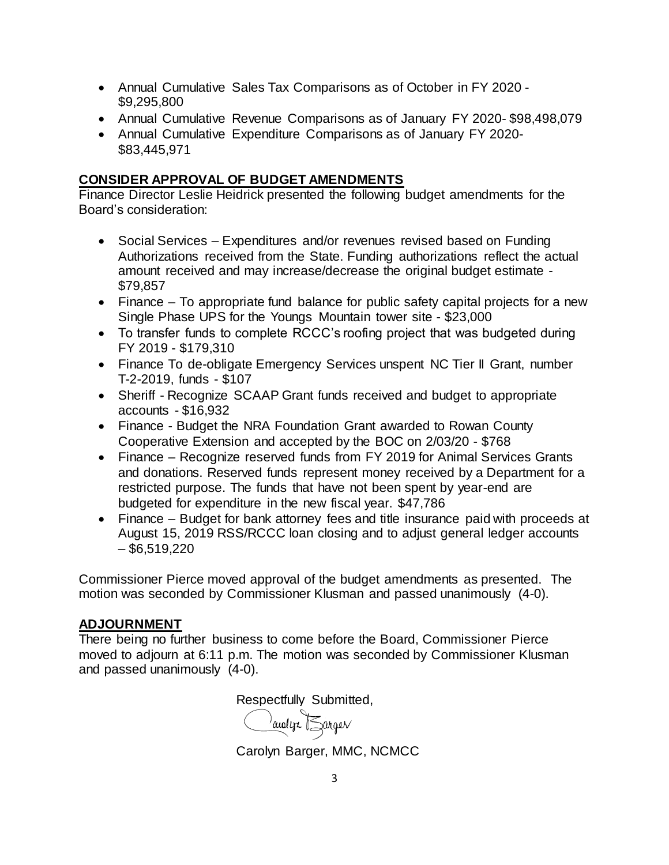- Annual Cumulative Sales Tax Comparisons as of October in FY 2020 \$9,295,800
- Annual Cumulative Revenue Comparisons as of January FY 2020- \$98,498,079
- Annual Cumulative Expenditure Comparisons as of January FY 2020- \$83,445,971

#### **CONSIDER APPROVAL OF BUDGET AMENDMENTS**

Finance Director Leslie Heidrick presented the following budget amendments for the Board's consideration:

- Social Services Expenditures and/or revenues revised based on Funding Authorizations received from the State. Funding authorizations reflect the actual amount received and may increase/decrease the original budget estimate - \$79,857
- Finance To appropriate fund balance for public safety capital projects for a new Single Phase UPS for the Youngs Mountain tower site - \$23,000
- To transfer funds to complete RCCC's roofing project that was budgeted during FY 2019 - \$179,310
- Finance To de-obligate Emergency Services unspent NC Tier II Grant, number T-2-2019, funds - \$107
- Sheriff Recognize SCAAP Grant funds received and budget to appropriate accounts - \$16,932
- Finance Budget the NRA Foundation Grant awarded to Rowan County Cooperative Extension and accepted by the BOC on 2/03/20 - \$768
- Finance Recognize reserved funds from FY 2019 for Animal Services Grants and donations. Reserved funds represent money received by a Department for a restricted purpose. The funds that have not been spent by year-end are budgeted for expenditure in the new fiscal year. \$47,786
- Finance Budget for bank attorney fees and title insurance paid with proceeds at August 15, 2019 RSS/RCCC loan closing and to adjust general ledger accounts  $-$  \$6,519,220

Commissioner Pierce moved approval of the budget amendments as presented. The motion was seconded by Commissioner Klusman and passed unanimously (4-0).

## **ADJOURNMENT**

There being no further business to come before the Board, Commissioner Pierce moved to adjourn at 6:11 p.m. The motion was seconded by Commissioner Klusman and passed unanimously (4-0).

Respectfully Submitted,

audern Larger

Carolyn Barger, MMC, NCMCC